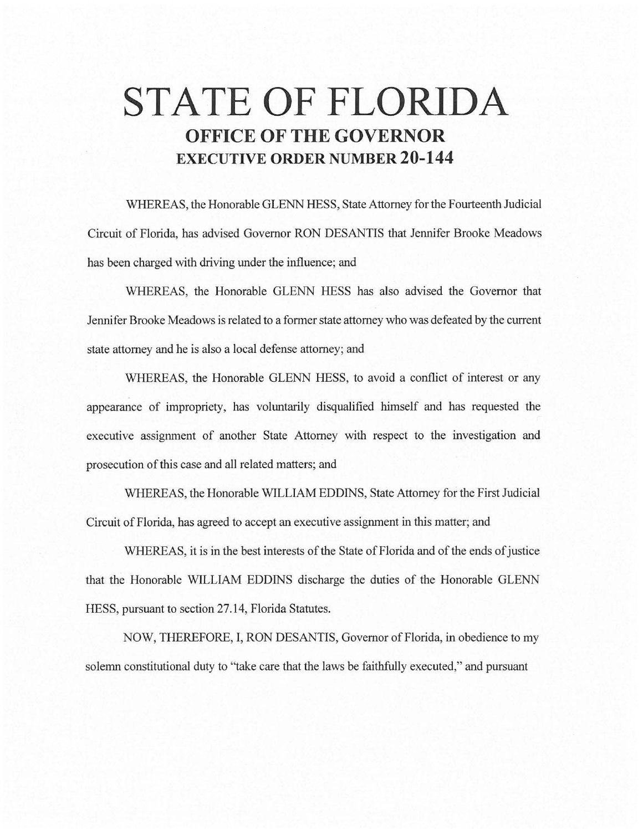# **STATE OF FLORIDA OFFICE OF THE GOVERNOR EXECUTIVE ORDER NUMBER 20-144**

WHEREAS, the Honorable GLENN HESS, State Attorney for the Fourteenth Judicial Circuit of Florida, has advised Governor RON DESANTIS that Jennifer Brooke Meadows has been charged with driving under the influence; and

WHEREAS, the Honorable GLENN HESS has also advised the Governor that Jennifer Brooke Meadows is related to a former state attorney who was defeated by the current state attorney and he is also a local defense attorney; and

WHEREAS, the Honorable GLENN HESS, to avoid a conflict of interest or any appearance of impropriety, has voluntarily disqualified himself and has requested the executive assignment of another State Attorney with respect to the investigation and prosecution of this case and all related matters; and

WHEREAS, the Honorable WILLIAM EDDINS, State Attorney for the First Judicial Circuit of Florida, has agreed to accept an executive assignment in this matter; and

WHEREAS, it is in the best interests of the State of Florida and of the ends of justice that the Honorable WILLIAM EDDINS discharge the duties of the Honorable GLENN HESS, pursuant to section 27.14, Florida Statutes.

NOW, THEREFORE, I, RON DESANTIS, Governor of Florida, in obedience to my solemn constitutional duty to "take care that the laws be faithfully executed," and pursuant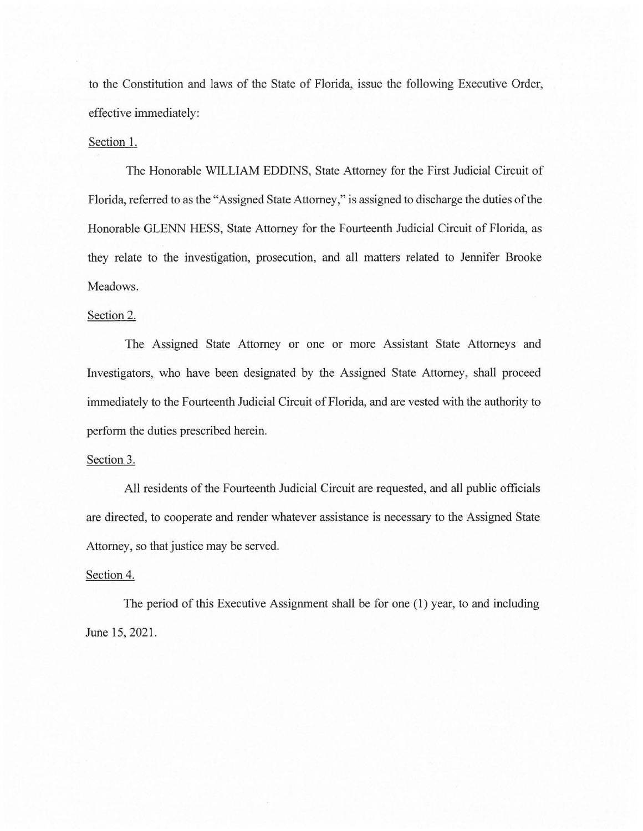to the Constitution and laws of the State of Florida, issue the following Executive Order, effective immediately:

### Section 1.

The Honorable WILLIAM EDDINS, State Attorney for the First Judicial Circuit of Florida, referred to as the "Assigned State Attorney," is assigned to discharge the duties of the Honorable GLENN HESS, State Attorney for the Fourteenth Judicial Circuit of Florida, as they relate to the investigation, prosecution, and all matters related to Jennifer Brooke Meadows.

## Section 2.

The Assigned State Attorney or one or more Assistant State Attorneys and Investigators, who have been designated by the Assigned State Attorney, shall proceed immediately to the Fourteenth Judicial Circuit of Florida, and are vested with the authority to perform the duties prescribed herein.

#### Section 3.

All residents of the Fourteenth Judicial Circuit are requested, and all public officials are directed, to cooperate and render whatever assistance is necessary to the Assigned State Attorney, so that justice may be served.

#### Section 4.

The period of this Executive Assignment shall be for one (1) year, to and including June 15, 2021.